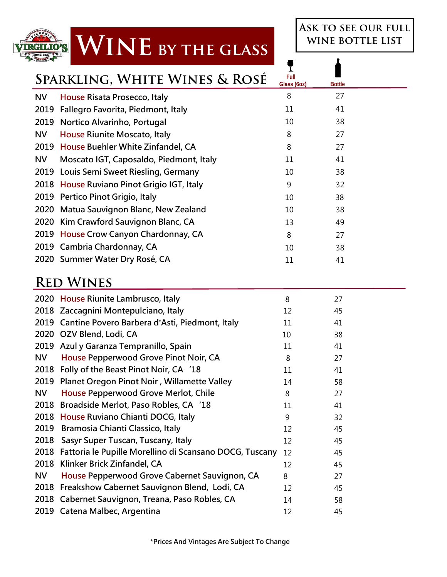### WINE BY THE GLASS **LO'S**

**Ask to see our full wine bottle list** 

 **Full** 

I

| SPARNLING, WHITE WINES & ROSE |                                            | Glass (6oz) | <b>Bottle</b> |  |
|-------------------------------|--------------------------------------------|-------------|---------------|--|
| <b>NV</b>                     | House Risata Prosecco, Italy               | 8           | 27            |  |
|                               | 2019 Fallegro Favorita, Piedmont, Italy    | 11          | 41            |  |
|                               | 2019 Nortico Alvarinho, Portugal           | 10          | 38            |  |
| NV                            | House Riunite Moscato, Italy               | 8           | 27            |  |
|                               | 2019 House Buehler White Zinfandel, CA     | 8           | 27            |  |
| <b>NV</b>                     | Moscato IGT, Caposaldo, Piedmont, Italy    | 11          | 41            |  |
|                               | 2019 Louis Semi Sweet Riesling, Germany    | 10          | 38            |  |
|                               | 2018 House Ruviano Pinot Grigio IGT, Italy | 9           | 32            |  |
|                               | 2019 Pertico Pinot Grigio, Italy           | 10          | 38            |  |
|                               | 2020 Matua Sauvignon Blanc, New Zealand    | 10          | 38            |  |
|                               | 2020 Kim Crawford Sauvignon Blanc, CA      | 13          | 49            |  |
|                               | 2019 House Crow Canyon Chardonnay, CA      | 8           | 27            |  |
|                               | 2019 Cambria Chardonnay, CA                | 10          | 38            |  |
|                               | 2020 Summer Water Dry Rosé, CA             | 11          | 41            |  |

### **Red Wines**

TRC

|           | 2020 House Riunite Lambrusco, Italy                     | 8  | 27 |
|-----------|---------------------------------------------------------|----|----|
|           | 2018 Zaccagnini Montepulciano, Italy                    | 12 | 45 |
|           | 2019 Cantine Povero Barbera d'Asti, Piedmont, Italy     | 11 | 41 |
|           | 2020 OZV Blend, Lodi, CA                                | 10 | 38 |
| 2019      | Azul y Garanza Tempranillo, Spain                       | 11 | 41 |
| <b>NV</b> | House Pepperwood Grove Pinot Noir, CA                   | 8  | 27 |
| 2018      | Folly of the Beast Pinot Noir, CA '18                   | 11 | 41 |
| 2019      | Planet Oregon Pinot Noir, Willamette Valley             | 14 | 58 |
| <b>NV</b> | House Pepperwood Grove Merlot, Chile                    | 8  | 27 |
| 2018      | Broadside Merlot, Paso Robles, CA '18                   | 11 | 41 |
| 2018      | House Ruviano Chianti DOCG, Italy                       | 9  | 32 |
| 2019      | Bramosia Chianti Classico, Italy                        | 12 | 45 |
| 2018      | Sasyr Super Tuscan, Tuscany, Italy                      | 12 | 45 |
| 2018      | Fattoria le Pupille Morellino di Scansano DOCG, Tuscany | 12 | 45 |
| 2018      | Klinker Brick Zinfandel, CA                             | 12 | 45 |
| <b>NV</b> | House Pepperwood Grove Cabernet Sauvignon, CA           | 8  | 27 |
| 2018      | Freakshow Cabernet Sauvignon Blend, Lodi, CA            | 12 | 45 |
|           | 2018 Cabernet Sauvignon, Treana, Paso Robles, CA        | 14 | 58 |
|           | 2019 Catena Malbec, Argentina                           | 12 | 45 |